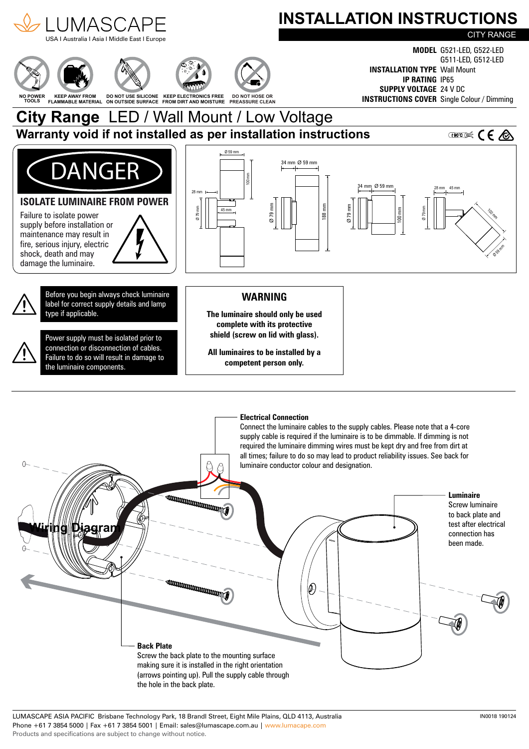

LUMASCAPE ASIA PACIFIC Brisbane Technology Park, 18 Brandl Street, Eight Mile Plains, QLD 4113, Australia Phone +61 7 3854 5000 | Fax +61 7 3854 5001 | Email: sales@lumascape.com.au | www.lumacape.com Products and specifications are subject to change without notice.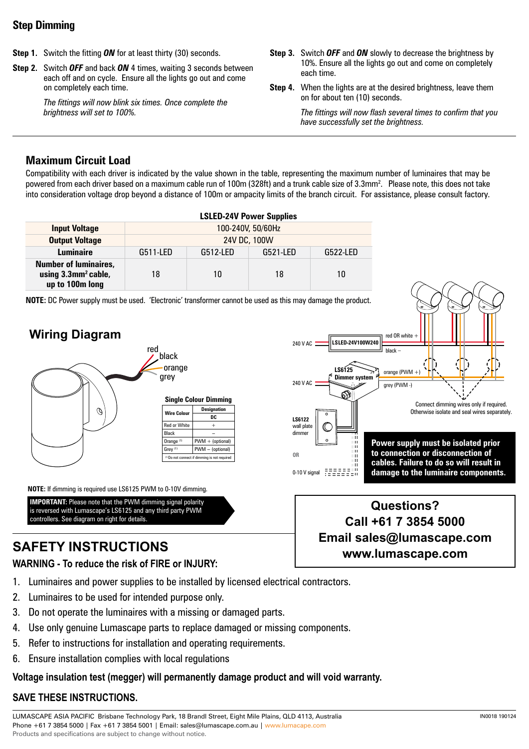### **Step Dimming**

- **Step 1.** Switch the fitting *ON* for at least thirty (30) seconds.
- **Step 2.** Switch *OFF* and back *ON* 4 times, waiting 3 seconds between each off and on cycle. Ensure all the lights go out and come on completely each time.

*The fittings will now blink six times. Once complete the brightness will set to 100%.*

- **Step 3.** Switch *OFF* and *ON* slowly to decrease the brightness by 10%. Ensure all the lights go out and come on completely each time.
- **Step 4.** When the lights are at the desired brightness, leave them on for about ten (10) seconds.

*The fittings will now flash several times to confirm that you have successfully set the brightness.*

# **Maximum Circuit Load**

Compatibility with each driver is indicated by the value shown in the table, representing the maximum number of luminaires that may be powered from each driver based on a maximum cable run of 100m (328ft) and a trunk cable size of 3.3mm². Please note, this does not take into consideration voltage drop beyond a distance of 100m or ampacity limits of the branch circuit. For assistance, please consult factory.

|                                                                                    | <b>LSLED-24V Power Supplies</b> |          |          |          |  |  |
|------------------------------------------------------------------------------------|---------------------------------|----------|----------|----------|--|--|
| <b>Input Voltage</b>                                                               | 100-240V, 50/60Hz               |          |          |          |  |  |
| <b>Output Voltage</b>                                                              | 24V DC, 100W                    |          |          |          |  |  |
| <b>Luminaire</b>                                                                   | G511-LED                        | G512-LED | G521-LED | G522-LED |  |  |
| <b>Number of luminaires,</b><br>using 3.3mm <sup>2</sup> cable,<br>up to 100m long | 18                              | 10       | 18       | 10       |  |  |

**NOTE:** DC Power supply must be used. 'Electronic' transformer cannot be used as this may damage the product.



**NOTE:** If dimming is required use LS6125 PWM to 0-10V dimming.

**IMPORTANT:** Please note that the PWM dimming signal polarity is reversed with Lumascape's LS6125 and any third party PWM controllers. See diagram on right for details.

# **SAFETY INSTRUCTIONS**

#### **WARNING - To reduce the risk of FIRE or INJURY:**

- 1. Luminaires and power supplies to be installed by licensed electrical contractors.
- 2. Luminaires to be used for intended purpose only.
- 3. Do not operate the luminaires with a missing or damaged parts.
- 4. Use only genuine Lumascape parts to replace damaged or missing components.
- 5. Refer to instructions for installation and operating requirements.
- 6. Ensure installation complies with local regulations

#### **Voltage insulation test (megger) will permanently damage product and will void warranty.**

#### **SAVE THESE INSTRUCTIONS.**

LUMASCAPE ASIA PACIFIC Brisbane Technology Park, 18 Brandl Street, Eight Mile Plains, QLD 4113, Australia Phone +61 7 3854 5000 | Fax +61 7 3854 5001 | Email: sales@lumascape.com.au | www.lumacape.com Products and specifications are subject to change without notice.



# **Questions? Call +61 7 3854 5000 Email sales@lumascape.com www.lumascape.com**